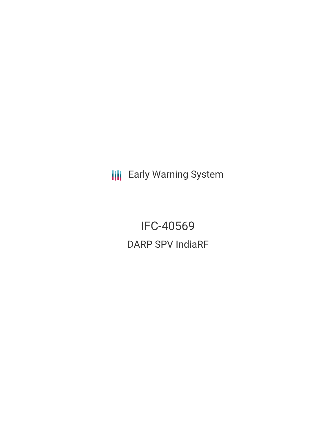**III** Early Warning System

IFC-40569 DARP SPV IndiaRF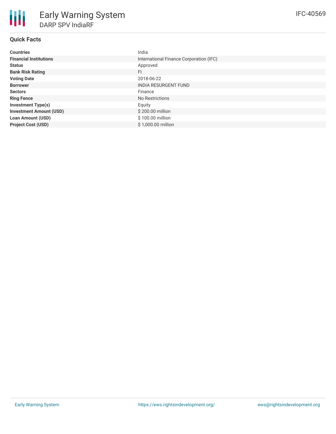## **Quick Facts**

朋

| <b>Countries</b>               | India                                   |
|--------------------------------|-----------------------------------------|
| <b>Financial Institutions</b>  | International Finance Corporation (IFC) |
| <b>Status</b>                  | Approved                                |
| <b>Bank Risk Rating</b>        | <b>FI</b>                               |
| <b>Voting Date</b>             | 2018-06-22                              |
| <b>Borrower</b>                | <b>INDIA RESURGENT FUND</b>             |
| <b>Sectors</b>                 | Finance                                 |
| <b>Ring Fence</b>              | No Restrictions                         |
| <b>Investment Type(s)</b>      | Equity                                  |
| <b>Investment Amount (USD)</b> | \$200.00 million                        |
| <b>Loan Amount (USD)</b>       | \$100.00 million                        |
| <b>Project Cost (USD)</b>      | \$1,000.00 million                      |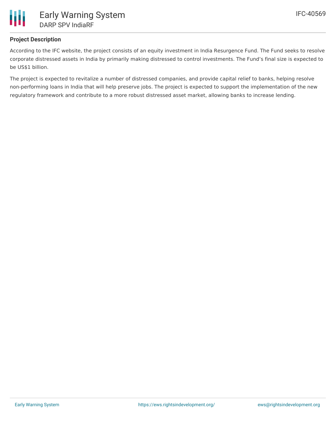

# **Project Description**

According to the IFC website, the project consists of an equity investment in India Resurgence Fund. The Fund seeks to resolve corporate distressed assets in India by primarily making distressed to control investments. The Fund's final size is expected to be US\$1 billion.

The project is expected to revitalize a number of distressed companies, and provide capital relief to banks, helping resolve non-performing loans in India that will help preserve jobs. The project is expected to support the implementation of the new regulatory framework and contribute to a more robust distressed asset market, allowing banks to increase lending.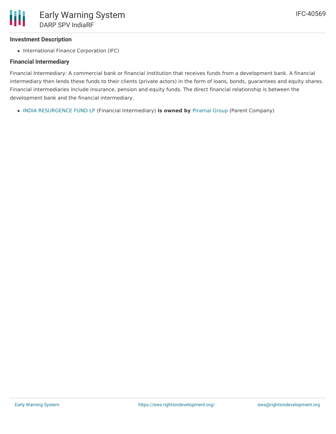## **Investment Description**

• International Finance Corporation (IFC)

## **Financial Intermediary**

Financial Intermediary: A commercial bank or financial institution that receives funds from a development bank. A financial intermediary then lends these funds to their clients (private actors) in the form of loans, bonds, guarantees and equity shares. Financial intermediaries include insurance, pension and equity funds. The direct financial relationship is between the development bank and the financial intermediary.

INDIA [RESURGENCE](file:///actor/4052/) FUND LP (Financial Intermediary) **is owned by** [Piramal](file:///actor/4092/) Group (Parent Company)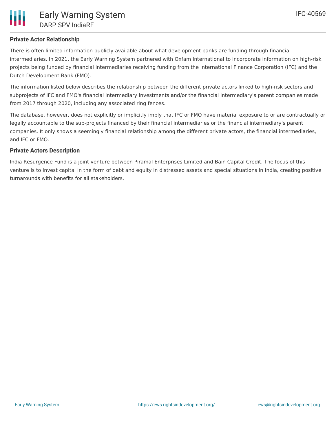## **Private Actor Relationship**

There is often limited information publicly available about what development banks are funding through financial intermediaries. In 2021, the Early Warning System partnered with Oxfam International to incorporate information on high-risk projects being funded by financial intermediaries receiving funding from the International Finance Corporation (IFC) and the Dutch Development Bank (FMO).

The information listed below describes the relationship between the different private actors linked to high-risk sectors and subprojects of IFC and FMO's financial intermediary investments and/or the financial intermediary's parent companies made from 2017 through 2020, including any associated ring fences.

The database, however, does not explicitly or implicitly imply that IFC or FMO have material exposure to or are contractually or legally accountable to the sub-projects financed by their financial intermediaries or the financial intermediary's parent companies. It only shows a seemingly financial relationship among the different private actors, the financial intermediaries, and IFC or FMO.

### **Private Actors Description**

India Resurgence Fund is a joint venture between Piramal Enterprises Limited and Bain Capital Credit. The focus of this venture is to invest capital in the form of debt and equity in distressed assets and special situations in India, creating positive turnarounds with benefits for all stakeholders.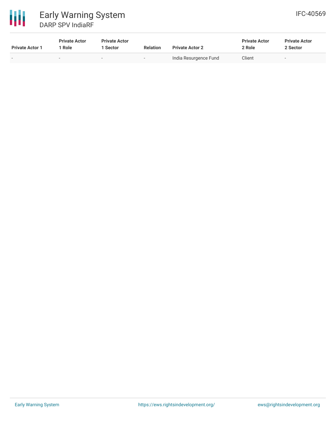

| <b>Private Actor 1</b> | <b>Private Actor</b><br>1 Role | <b>Private Actor</b><br>l Sector | <b>Relation</b> | <b>Private Actor 2</b> | <b>Private Actor</b><br>2 Role | <b>Private Actor</b><br>2 Sector |
|------------------------|--------------------------------|----------------------------------|-----------------|------------------------|--------------------------------|----------------------------------|
|                        | $\sim$                         | $\sim$                           |                 | India Resurgence Fund  | Client                         | $\overline{\phantom{a}}$         |